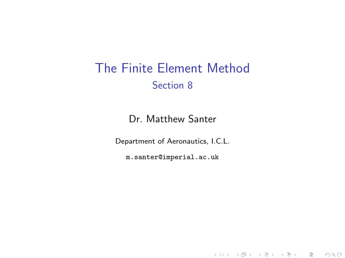# The Finite Element Method Section 8

Dr. Matthew Santer

Department of Aeronautics, I.C.L.

<span id="page-0-0"></span>m.santer@imperial.ac.uk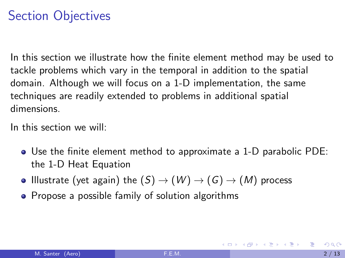# Section Objectives

In this section we illustrate how the finite element method may be used to tackle problems which vary in the temporal in addition to the spatial domain. Although we will focus on a 1-D implementation, the same techniques are readily extended to problems in additional spatial dimensions.

In this section we will:

- Use the finite element method to approximate a 1-D parabolic PDE: the 1-D Heat Equation
- Illustrate (yet again) the  $(S) \rightarrow (W) \rightarrow (G) \rightarrow (M)$  process
- Propose a possible family of solution algorithms

KONKAPIK KENYEN E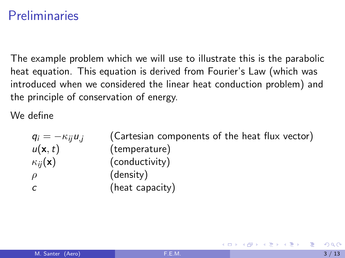# Preliminaries

The example problem which we will use to illustrate this is the parabolic heat equation. This equation is derived from Fourier's Law (which was introduced when we considered the linear heat conduction problem) and the principle of conservation of energy.

We define

 $q_i = -\kappa_{ii}u_j$  (Cartesian components of the heat flux vector)  $u(\mathbf{x},t)$  (temperature)  $\kappa_{ii}(\mathbf{x})$  (conductivity)  $\rho$  (density) c (heat capacity)

イタト イミト イミト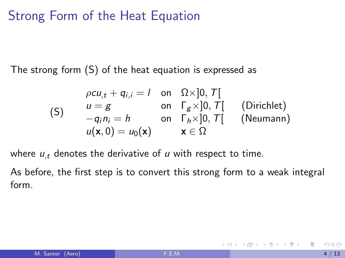## Strong Form of the Heat Equation

The strong form (S) of the heat equation is expressed as

$$
\rho c u_{,t} + q_{i,i} = 1 \quad \text{on} \quad \Omega \times ]0, T[
$$
\n
$$
\begin{array}{ll}\n u = g & \text{on} \quad \Gamma_g \times ]0, T[ \\
-q_i n_i = h & \text{on} \quad \Gamma_h \times ]0, T[ \\
u(\mathbf{x}, 0) = u_0(\mathbf{x}) & \mathbf{x} \in \Omega\n \end{array} \quad \text{(Neumann)}
$$

where  $u_t$  denotes the derivative of u with respect to time.

As before, the first step is to convert this strong form to a weak integral form.

\* す唐 ト す唐 ト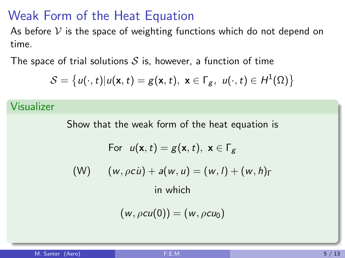## Weak Form of the Heat Equation

As before  $V$  is the space of weighting functions which do not depend on time.

The space of trial solutions  $S$  is, however, a function of time

$$
\mathcal{S} = \left\{ u(\cdot, t) | u(\mathbf{x}, t) = g(\mathbf{x}, t), \ \mathbf{x} \in \Gamma_g, \ u(\cdot, t) \in H^1(\Omega) \right\}
$$

#### Visualizer

Show that the weak form of the heat equation is For  $u(\mathbf{x},t) = g(\mathbf{x},t)$ ,  $\mathbf{x} \in \Gamma_{\mathcal{G}}$ (W)  $(w, \rho c \dot{u}) + a(w, u) = (w, l) + (w, h)$ <sub>Γ</sub> in which

$$
(w, \rho cu(0)) = (w, \rho cu_0)
$$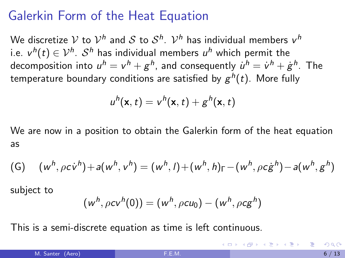## Galerkin Form of the Heat Equation

We discretize  $\mathcal V$  to  $\mathcal V^h$  and  $\mathcal S$  to  $\mathcal S^h.$   $\mathcal V^h$  has individual members  $\mathsf v^h$ i.e.  $\mathsf{v}^{\mathsf{h}}(t) \in \mathcal{V}^{\mathsf{h}}$ .  $\mathcal{S}^{\mathsf{h}}$  has individual members  $u^{\mathsf{h}}$  which permit the decomposition into  $u^h = \mathsf{v}^h + \mathsf{g}^h$ , and consequently  $\dot{u}^h = \dot{\mathsf{v}}^h + \dot{\mathsf{g}}^h$ . The temperature boundary conditions are satisfied by  $\boldsymbol{g}^h(t)$ . More fully

$$
u^h(\mathbf{x},t)=v^h(\mathbf{x},t)+g^h(\mathbf{x},t)
$$

We are now in a position to obtain the Galerkin form of the heat equation as

(G) 
$$
(w^h, \rho c \dot{v}^h) + a(w^h, v^h) = (w^h, l) + (w^h, h)_{\Gamma} - (w^h, \rho c \dot{g}^h) - a(w^h, g^h)
$$

subject to

$$
(w^h, \rho c v^h(0)) = (w^h, \rho c u_0) - (w^h, \rho c g^h)
$$

This is a semi-discrete equation as time is left continuous.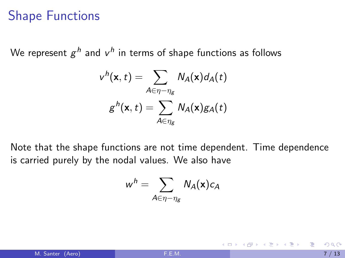### Shape Functions

We represent  $g^h$  and  $v^h$  in terms of shape functions as follows

$$
v^h(\mathbf{x},t) = \sum_{A \in \eta - \eta_g} N_A(\mathbf{x}) d_A(t)
$$

$$
g^h(\mathbf{x},t) = \sum_{A \in \eta_g} N_A(\mathbf{x}) g_A(t)
$$

Note that the shape functions are not time dependent. Time dependence is carried purely by the nodal values. We also have

$$
w^h = \sum_{A \in \eta - \eta_g} N_A(\mathbf{x}) c_A
$$

 $\mathcal{A} \cap \mathcal{B} \rightarrow \mathcal{A} \ni \mathcal{B} \rightarrow \mathcal{A} \ni \mathcal{B} \rightarrow \mathcal{B}$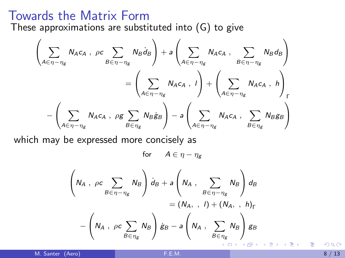### Towards the Matrix Form

These approximations are substituted into (G) to give

$$
\left(\sum_{A\in\eta-\eta_{g}}N_{A}c_{A}\;,\;\rho c\sum_{B\in\eta-\eta_{g}}N_{B}\dot{d}_{B}\right)+a\left(\sum_{A\in\eta-\eta_{g}}N_{A}c_{A}\;,\;\sum_{B\in\eta-\eta_{g}}N_{B}d_{B}\right)
$$
\n
$$
=\left(\sum_{A\in\eta-\eta_{g}}N_{A}c_{A}\;,\;I\right)+\left(\sum_{A\in\eta-\eta_{g}}N_{A}c_{A}\;,\;h\right)_{\Gamma}
$$
\n
$$
-\left(\sum_{A\in\eta-\eta_{g}}N_{A}c_{A}\;,\;\rho g\sum_{B\in\eta_{g}}N_{B}\dot{g}_{B}\right)-a\left(\sum_{A\in\eta-\eta_{g}}N_{A}c_{A}\;,\;\sum_{B\in\eta_{g}}N_{B}g_{B}\right)
$$

which may be expressed more concisely as

for  $A \in \eta - \eta_g$ 

$$
\left(N_A, \, \rho c \sum_{B \in \eta - \eta_g} N_B\right) d_B + a \left(N_A, \sum_{B \in \eta - \eta_g} N_B\right) d_B
$$

$$
= (N_A, \, \eta) + (N_A, \, \eta_h)_{\Gamma}
$$

$$
- \left(N_A, \, \rho c \sum_{B \in \eta_g} N_B\right) \dot{g}_B - a \left(N_A, \sum_{B \in \eta_g} N_B\right) g_B
$$

M. Santer (Aero) **[F.E.M.](#page-0-0)** 8 / 13

K 로 베 K 로 로 베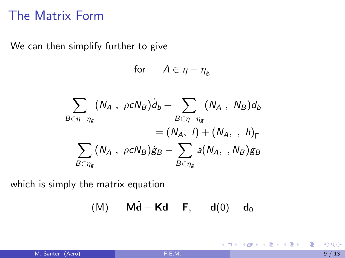### The Matrix Form

We can then simplify further to give

for  $A \in \eta - \eta_g$ 

$$
\sum_{B \in \eta - \eta_g} (N_A \, , \, \rho c N_B) d_b + \sum_{B \in \eta - \eta_g} (N_A \, , \, N_B) d_b
$$
\n
$$
= (N_A, \, I) + (N_A, \, , \, h)_\Gamma
$$
\n
$$
\sum_{B \in \eta_g} (N_A \, , \, \rho c N_B) \dot{g}_B - \sum_{B \in \eta_g} a(N_A, \, , N_B) g_B
$$

which is simply the matrix equation

$$
(M) \qquad \mathbf{M}\dot{\mathbf{d}} + \mathbf{K}\mathbf{d} = \mathbf{F}, \qquad \mathbf{d}(0) = \mathbf{d}_0
$$

K ロンス 御 > ス ヨ > ス ヨ > 一 ヨ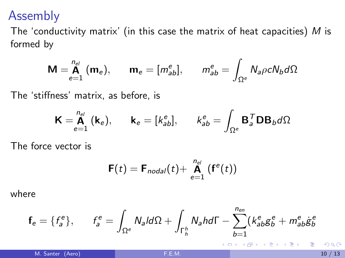### Assembly

The 'conductivity matrix' (in this case the matrix of heat capacities)  $M$  is formed by

$$
\mathbf{M} = \mathop{\mathbf{A}}\limits_{e=1}^{n_{el}} (\mathbf{m}_e), \qquad \mathbf{m}_e = [m_{ab}^e], \qquad m_{ab}^e = \int_{\Omega^e} N_a \rho c N_b d\Omega
$$

The 'stiffness' matrix, as before, is

$$
\mathbf{K} = \overset{n_{el}}{\mathbf{A}} (\mathbf{k}_e), \qquad \mathbf{k}_e = [k_{ab}^e], \qquad k_{ab}^e = \int_{\Omega^e} \mathbf{B}_a^\mathsf{T} \mathbf{D} \mathbf{B}_b d\Omega
$$

The force vector is

$$
\mathbf{F}(t) = \mathbf{F}_{nodal}(t) + \mathbf{A}_{e=1}^{n_{el}} (\mathbf{f}^{e}(t))
$$

where

$$
\mathbf{f}_e = \{f^e_a\}, \qquad f^e_a = \int_{\Omega^e} N_a \, d\Omega + \int_{\Gamma_h^h} N_a \, h \, d\Gamma - \sum_{b=1}^{n_{en}} (k^e_{ab} g^e_b + m^e_{ab} \dot{g}^e_b)
$$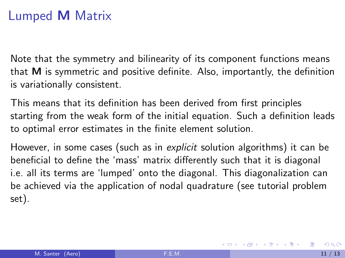# Lumped M Matrix

Note that the symmetry and bilinearity of its component functions means that M is symmetric and positive definite. Also, importantly, the definition is variationally consistent.

This means that its definition has been derived from first principles starting from the weak form of the initial equation. Such a definition leads to optimal error estimates in the finite element solution.

However, in some cases (such as in *explicit* solution algorithms) it can be beneficial to define the 'mass' matrix differently such that it is diagonal i.e. all its terms are 'lumped' onto the diagonal. This diagonalization can be achieved via the application of nodal quadrature (see tutorial problem set).

イロメ イ部メ イ君メ イ君メー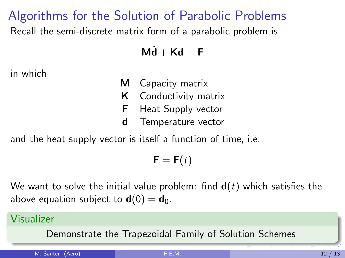## Algorithms for the Solution of Parabolic Problems

Recall the semi-discrete matrix form of a parabolic problem is

 $\mathbf{M}\dot{\mathbf{d}} + \mathbf{K}\mathbf{d} = \mathbf{F}$ 

in which

- M Capacity matrix
- K Conductivity matrix
- **F** Heat Supply vector
- d Temperature vector

and the heat supply vector is itself a function of time, i.e.

 $\mathbf{F} = \mathbf{F}(t)$ 

We want to solve the initial value problem: find  $d(t)$  which satisfies the above equation subject to  $\mathbf{d}(0) = \mathbf{d}_0$ .

### Visualizer

Demonstrate the Trapezoidal Family of Solution Schemes